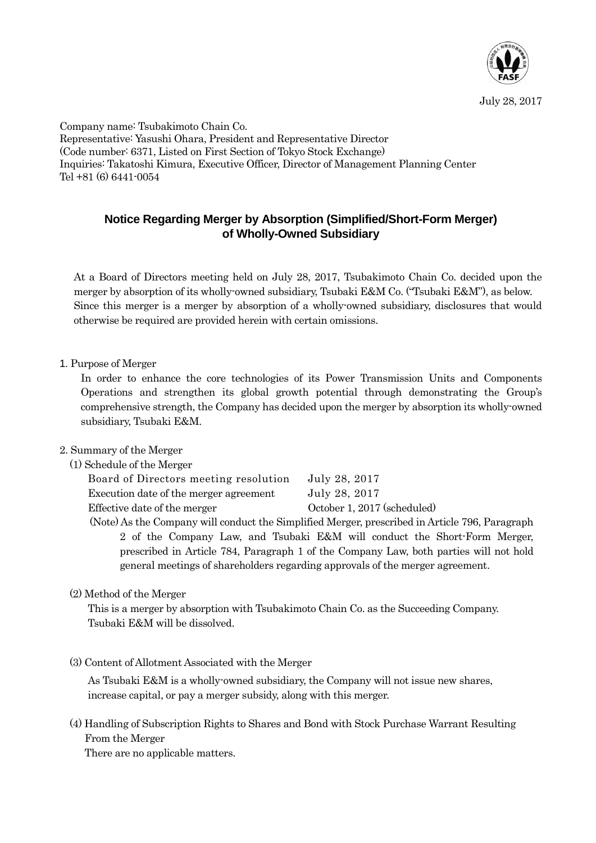

Company name: Tsubakimoto Chain Co. Representative: Yasushi Ohara, President and Representative Director (Code number: 6371, Listed on First Section of Tokyo Stock Exchange) Inquiries: Takatoshi Kimura, Executive Officer, Director of Management Planning Center Tel +81 (6) 6441-0054

## **Notice Regarding Merger by Absorption (Simplified/Short-Form Merger) of Wholly-Owned Subsidiary**

At a Board of Directors meeting held on July 28, 2017, Tsubakimoto Chain Co. decided upon the merger by absorption of its wholly-owned subsidiary, Tsubaki E&M Co. ("Tsubaki E&M"), as below. Since this merger is a merger by absorption of a wholly-owned subsidiary, disclosures that would otherwise be required are provided herein with certain omissions.

1. Purpose of Merger

In order to enhance the core technologies of its Power Transmission Units and Components Operations and strengthen its global growth potential through demonstrating the Group's comprehensive strength, the Company has decided upon the merger by absorption its wholly-owned subsidiary, Tsubaki E&M.

#### 2. Summary of the Merger

#### (1) Schedule of the Merger

| July 28, 2017               |
|-----------------------------|
| July 28, 2017               |
| October 1, 2017 (scheduled) |
|                             |

(Note) As the Company will conduct the Simplified Merger, prescribed in Article 796, Paragraph 2 of the Company Law, and Tsubaki E&M will conduct the Short-Form Merger, prescribed in Article 784, Paragraph 1 of the Company Law, both parties will not hold general meetings of shareholders regarding approvals of the merger agreement.

## (2) Method of the Merger

This is a merger by absorption with Tsubakimoto Chain Co. as the Succeeding Company. Tsubaki E&M will be dissolved.

(3) Content of Allotment Associated with the Merger

As Tsubaki E&M is a wholly-owned subsidiary, the Company will not issue new shares, increase capital, or pay a merger subsidy, along with this merger.

# (4) Handling of Subscription Rights to Shares and Bond with Stock Purchase Warrant Resulting From the Merger

There are no applicable matters.